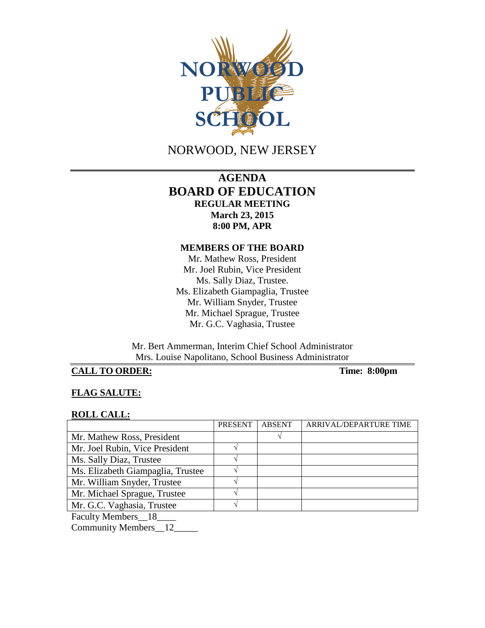

NORWOOD, NEW JERSEY

# **AGENDA BOARD OF EDUCATION REGULAR MEETING March 23, 2015 8:00 PM, APR**

#### **MEMBERS OF THE BOARD**

Mr. Mathew Ross, President Mr. Joel Rubin, Vice President Ms. Sally Diaz, Trustee. Ms. Elizabeth Giampaglia, Trustee Mr. William Snyder, Trustee Mr. Michael Sprague, Trustee Mr. G.C. Vaghasia, Trustee

Mr. Bert Ammerman, Interim Chief School Administrator Mrs. Louise Napolitano, School Business Administrator

# **CALL TO ORDER:** Time: 8:00pm

## **FLAG SALUTE:**

#### **ROLL CALL:**

|                                                                                                                                                                                                                                                                                                                                    | PRESENT | <b>ABSENT</b> | ARRIVAL/DEPARTURE TIME |
|------------------------------------------------------------------------------------------------------------------------------------------------------------------------------------------------------------------------------------------------------------------------------------------------------------------------------------|---------|---------------|------------------------|
| Mr. Mathew Ross, President                                                                                                                                                                                                                                                                                                         |         |               |                        |
| Mr. Joel Rubin, Vice President                                                                                                                                                                                                                                                                                                     |         |               |                        |
| Ms. Sally Diaz, Trustee                                                                                                                                                                                                                                                                                                            |         |               |                        |
| Ms. Elizabeth Giampaglia, Trustee                                                                                                                                                                                                                                                                                                  |         |               |                        |
| Mr. William Snyder, Trustee                                                                                                                                                                                                                                                                                                        |         |               |                        |
| Mr. Michael Sprague, Trustee                                                                                                                                                                                                                                                                                                       |         |               |                        |
| Mr. G.C. Vaghasia, Trustee                                                                                                                                                                                                                                                                                                         |         |               |                        |
| $\mathbf{E}$ $\mathbf{E}$ $\mathbf{E}$ $\mathbf{E}$ $\mathbf{E}$ $\mathbf{E}$ $\mathbf{E}$ $\mathbf{E}$ $\mathbf{E}$ $\mathbf{E}$ $\mathbf{E}$ $\mathbf{E}$ $\mathbf{E}$ $\mathbf{E}$ $\mathbf{E}$ $\mathbf{E}$ $\mathbf{E}$ $\mathbf{E}$ $\mathbf{E}$ $\mathbf{E}$ $\mathbf{E}$ $\mathbf{E}$ $\mathbf{E}$ $\mathbf{E}$ $\mathbf{$ |         |               |                        |

Faculty Members\_\_18\_\_\_\_

Community Members\_\_12\_\_\_\_\_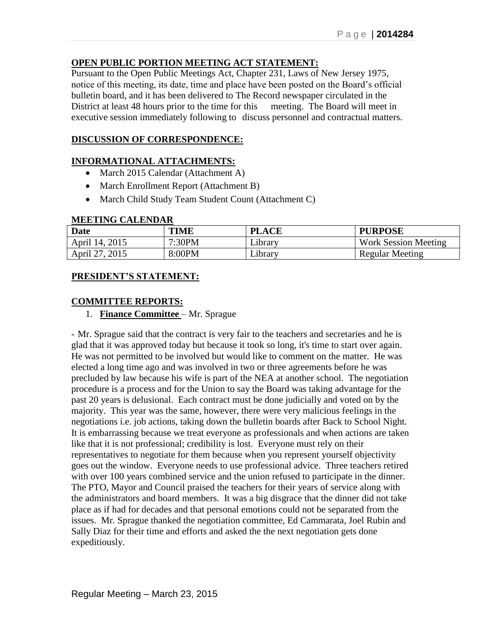# **OPEN PUBLIC PORTION MEETING ACT STATEMENT:**

Pursuant to the Open Public Meetings Act, Chapter 231, Laws of New Jersey 1975, notice of this meeting, its date, time and place have been posted on the Board's official bulletin board, and it has been delivered to The Record newspaper circulated in the District at least 48 hours prior to the time for this meeting. The Board will meet in executive session immediately following to discuss personnel and contractual matters.

# **DISCUSSION OF CORRESPONDENCE:**

# **INFORMATIONAL ATTACHMENTS:**

- March 2015 Calendar (Attachment A)
- March Enrollment Report (Attachment B)
- March Child Study Team Student Count (Attachment C)

#### **MEETING CALENDAR**

| Date           | <b>TIME</b> | <b>PLACE</b> | <b>PURPOSE</b>              |
|----------------|-------------|--------------|-----------------------------|
| April 14, 2015 | 7:30PM      | Library      | <b>Work Session Meeting</b> |
| April 27, 2015 | 8:00PM      | Library      | <b>Regular Meeting</b>      |

### **PRESIDENT'S STATEMENT:**

### **COMMITTEE REPORTS:**

1. **Finance Committee** – Mr. Sprague

- Mr. Sprague said that the contract is very fair to the teachers and secretaries and he is glad that it was approved today but because it took so long, it's time to start over again. He was not permitted to be involved but would like to comment on the matter. He was elected a long time ago and was involved in two or three agreements before he was precluded by law because his wife is part of the NEA at another school. The negotiation procedure is a process and for the Union to say the Board was taking advantage for the past 20 years is delusional. Each contract must be done judicially and voted on by the majority. This year was the same, however, there were very malicious feelings in the negotiations i.e. job actions, taking down the bulletin boards after Back to School Night. It is embarrassing because we treat everyone as professionals and when actions are taken like that it is not professional; credibility is lost. Everyone must rely on their representatives to negotiate for them because when you represent yourself objectivity goes out the window. Everyone needs to use professional advice. Three teachers retired with over 100 years combined service and the union refused to participate in the dinner. The PTO, Mayor and Council praised the teachers for their years of service along with the administrators and board members. It was a big disgrace that the dinner did not take place as if had for decades and that personal emotions could not be separated from the issues. Mr. Sprague thanked the negotiation committee, Ed Cammarata, Joel Rubin and Sally Diaz for their time and efforts and asked the the next negotiation gets done expeditiously.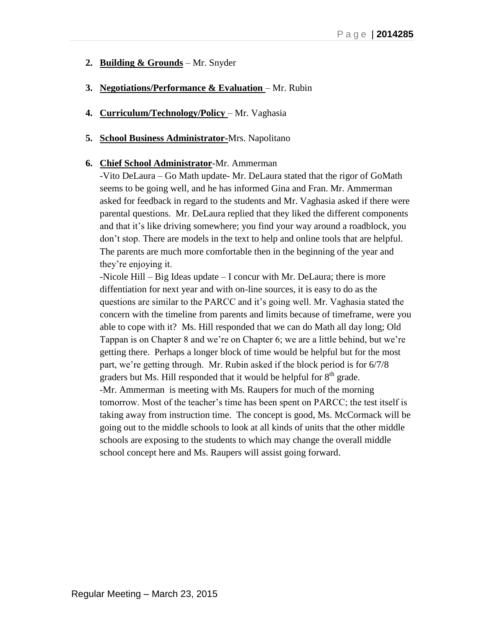- **2. Building & Grounds** Mr. Snyder
- **3. Negotiations/Performance & Evaluation** Mr. Rubin
- **4. Curriculum/Technology/Policy** Mr. Vaghasia
- **5. School Business Administrator-**Mrs. Napolitano
- **6. Chief School Administrator**-Mr. Ammerman

-Vito DeLaura – Go Math update- Mr. DeLaura stated that the rigor of GoMath seems to be going well, and he has informed Gina and Fran. Mr. Ammerman asked for feedback in regard to the students and Mr. Vaghasia asked if there were parental questions. Mr. DeLaura replied that they liked the different components and that it's like driving somewhere; you find your way around a roadblock, you don't stop. There are models in the text to help and online tools that are helpful. The parents are much more comfortable then in the beginning of the year and they're enjoying it.

-Nicole Hill – Big Ideas update – I concur with Mr. DeLaura; there is more diffentiation for next year and with on-line sources, it is easy to do as the questions are similar to the PARCC and it's going well. Mr. Vaghasia stated the concern with the timeline from parents and limits because of timeframe, were you able to cope with it? Ms. Hill responded that we can do Math all day long; Old Tappan is on Chapter 8 and we're on Chapter 6; we are a little behind, but we're getting there. Perhaps a longer block of time would be helpful but for the most part, we're getting through. Mr. Rubin asked if the block period is for 6/7/8 graders but Ms. Hill responded that it would be helpful for 8<sup>th</sup> grade. -Mr. Ammerman is meeting with Ms. Raupers for much of the morning tomorrow. Most of the teacher's time has been spent on PARCC; the test itself is taking away from instruction time. The concept is good, Ms. McCormack will be going out to the middle schools to look at all kinds of units that the other middle schools are exposing to the students to which may change the overall middle school concept here and Ms. Raupers will assist going forward.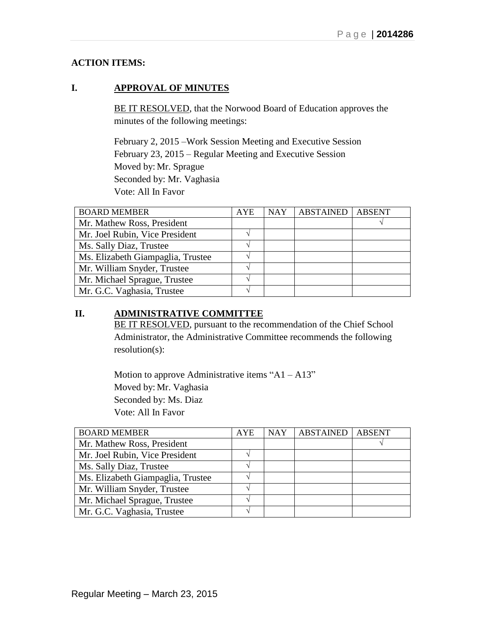# **ACTION ITEMS:**

# **I. APPROVAL OF MINUTES**

BE IT RESOLVED, that the Norwood Board of Education approves the minutes of the following meetings:

February 2, 2015 –Work Session Meeting and Executive Session February 23, 2015 – Regular Meeting and Executive Session Moved by: Mr. Sprague Seconded by: Mr. Vaghasia Vote: All In Favor

| <b>BOARD MEMBER</b>               | <b>AYE</b> | <b>NAY</b> | <b>ABSTAINED</b> | <b>ABSENT</b> |
|-----------------------------------|------------|------------|------------------|---------------|
| Mr. Mathew Ross, President        |            |            |                  |               |
| Mr. Joel Rubin, Vice President    |            |            |                  |               |
| Ms. Sally Diaz, Trustee           |            |            |                  |               |
| Ms. Elizabeth Giampaglia, Trustee |            |            |                  |               |
| Mr. William Snyder, Trustee       |            |            |                  |               |
| Mr. Michael Sprague, Trustee      |            |            |                  |               |
| Mr. G.C. Vaghasia, Trustee        |            |            |                  |               |

# **II. ADMINISTRATIVE COMMITTEE**

BE IT RESOLVED, pursuant to the recommendation of the Chief School Administrator, the Administrative Committee recommends the following resolution(s):

Motion to approve Administrative items " $A1 - A13$ " Moved by: Mr. Vaghasia Seconded by: Ms. Diaz Vote: All In Favor

| <b>BOARD MEMBER</b>               | AYE | <b>NAY</b> | <b>ABSTAINED</b> | <b>ABSENT</b> |
|-----------------------------------|-----|------------|------------------|---------------|
| Mr. Mathew Ross, President        |     |            |                  |               |
| Mr. Joel Rubin, Vice President    |     |            |                  |               |
| Ms. Sally Diaz, Trustee           |     |            |                  |               |
| Ms. Elizabeth Giampaglia, Trustee |     |            |                  |               |
| Mr. William Snyder, Trustee       |     |            |                  |               |
| Mr. Michael Sprague, Trustee      |     |            |                  |               |
| Mr. G.C. Vaghasia, Trustee        |     |            |                  |               |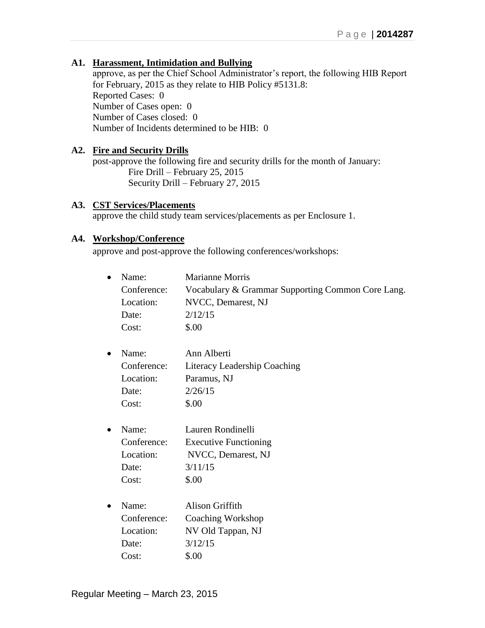## **A1. Harassment, Intimidation and Bullying**

approve, as per the Chief School Administrator's report, the following HIB Report for February, 2015 as they relate to HIB Policy #5131.8: Reported Cases: 0 Number of Cases open: 0 Number of Cases closed: 0 Number of Incidents determined to be HIB: 0

#### **A2. Fire and Security Drills**

post-approve the following fire and security drills for the month of January: Fire Drill – February 25, 2015 Security Drill – February 27, 2015

#### **A3. CST Services/Placements**

approve the child study team services/placements as per Enclosure 1.

#### **A4. Workshop/Conference**

approve and post-approve the following conferences/workshops:

| $\bullet$ | Name:       | Marianne Morris                                   |
|-----------|-------------|---------------------------------------------------|
|           | Conference: | Vocabulary & Grammar Supporting Common Core Lang. |
|           | Location:   | NVCC, Demarest, NJ                                |
|           | Date:       | 2/12/15                                           |
|           | Cost:       | \$.00                                             |
| $\bullet$ | Name:       | Ann Alberti                                       |
|           | Conference: | Literacy Leadership Coaching                      |
|           | Location:   | Paramus, NJ                                       |
|           | Date:       | 2/26/15                                           |
|           | Cost:       | \$.00                                             |
| $\bullet$ | Name:       | Lauren Rondinelli                                 |
|           | Conference: | <b>Executive Functioning</b>                      |
|           | Location:   | NVCC, Demarest, NJ                                |
|           | Date:       | 3/11/15                                           |
|           | Cost:       | \$.00                                             |
| $\bullet$ | Name:       | <b>Alison Griffith</b>                            |
|           | Conference: | Coaching Workshop                                 |
|           | Location:   | NV Old Tappan, NJ                                 |
|           | Date:       | 3/12/15                                           |
|           | Cost:       | \$.00                                             |
|           |             |                                                   |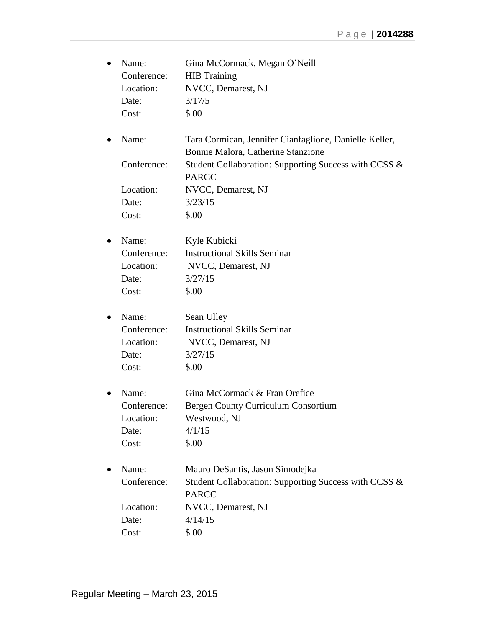| $\bullet$ | Name:       | Gina McCormack, Megan O'Neill                                         |
|-----------|-------------|-----------------------------------------------------------------------|
|           | Conference: | <b>HIB</b> Training                                                   |
|           | Location:   | NVCC, Demarest, NJ                                                    |
|           | Date:       | 3/17/5                                                                |
|           | Cost:       | \$.00                                                                 |
| $\bullet$ | Name:       | Tara Cormican, Jennifer Cianfaglione, Danielle Keller,                |
|           |             | Bonnie Malora, Catherine Stanzione                                    |
|           | Conference: | Student Collaboration: Supporting Success with CCSS &                 |
|           |             | <b>PARCC</b>                                                          |
|           | Location:   | NVCC, Demarest, NJ                                                    |
|           | Date:       | 3/23/15                                                               |
|           | Cost:       | \$.00                                                                 |
| ٠         | Name:       | Kyle Kubicki                                                          |
|           | Conference: | <b>Instructional Skills Seminar</b>                                   |
|           | Location:   | NVCC, Demarest, NJ                                                    |
|           | Date:       | 3/27/15                                                               |
|           | Cost:       | \$.00                                                                 |
| ٠         | Name:       | Sean Ulley                                                            |
|           | Conference: | <b>Instructional Skills Seminar</b>                                   |
|           | Location:   | NVCC, Demarest, NJ                                                    |
|           | Date:       | 3/27/15                                                               |
|           | Cost:       | \$.00                                                                 |
|           | Name:       | Gina McCormack & Fran Orefice                                         |
|           | Conference: | Bergen County Curriculum Consortium                                   |
|           | Location:   | Westwood, NJ                                                          |
|           | Date:       | 4/1/15                                                                |
|           | Cost:       | \$.00                                                                 |
|           | Name:       | Mauro DeSantis, Jason Simodejka                                       |
|           | Conference: | Student Collaboration: Supporting Success with CCSS &<br><b>PARCC</b> |
|           | Location:   | NVCC, Demarest, NJ                                                    |
|           | Date:       | 4/14/15                                                               |
|           | Cost:       | \$.00                                                                 |
|           |             |                                                                       |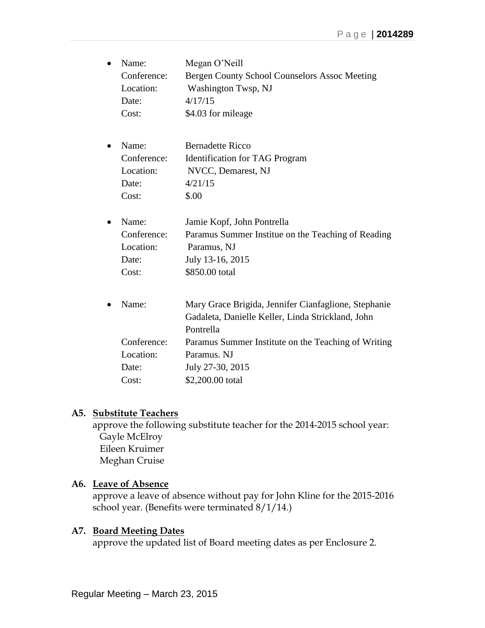| $\bullet$ | Name:       | Megan O'Neill                                        |
|-----------|-------------|------------------------------------------------------|
|           | Conference: | Bergen County School Counselors Assoc Meeting        |
|           | Location:   | Washington Twsp, NJ                                  |
|           | Date:       | 4/17/15                                              |
|           | Cost:       | \$4.03 for mileage                                   |
| $\bullet$ | Name:       | <b>Bernadette Ricco</b>                              |
|           | Conference: | <b>Identification for TAG Program</b>                |
|           | Location:   | NVCC, Demarest, NJ                                   |
|           | Date:       | 4/21/15                                              |
|           | Cost:       | \$.00                                                |
| $\bullet$ | Name:       | Jamie Kopf, John Pontrella                           |
|           | Conference: | Paramus Summer Institue on the Teaching of Reading   |
|           | Location:   | Paramus, NJ                                          |
|           | Date:       | July 13-16, 2015                                     |
|           | Cost:       | \$850.00 total                                       |
| $\bullet$ | Name:       | Mary Grace Brigida, Jennifer Cianfaglione, Stephanie |
|           |             | Gadaleta, Danielle Keller, Linda Strickland, John    |
|           |             | Pontrella                                            |
|           | Conference: | Paramus Summer Institute on the Teaching of Writing  |
|           | Location:   | Paramus. NJ                                          |
|           | Date:       | July 27-30, 2015                                     |
|           | Cost:       | \$2,200.00 total                                     |

### **A5. Substitute Teachers**

approve the following substitute teacher for the 2014-2015 school year: Gayle McElroy Eileen Kruimer Meghan Cruise

# **A6. Leave of Absence**

approve a leave of absence without pay for John Kline for the 2015-2016 school year. (Benefits were terminated 8/1/14.)

# **A7. Board Meeting Dates**

approve the updated list of Board meeting dates as per Enclosure 2.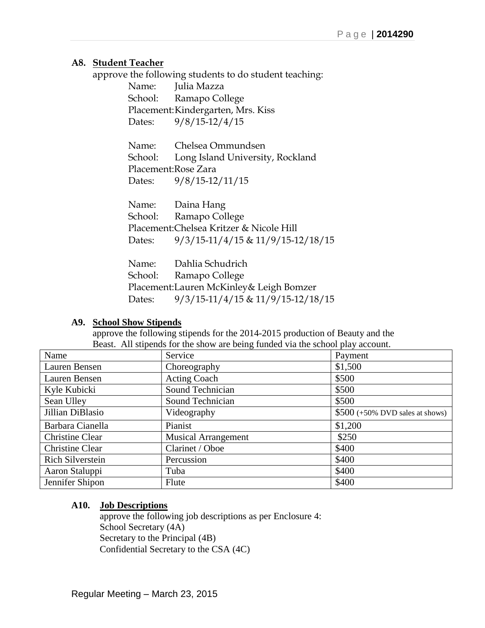# **A8. Student Teacher**

approve the following students to do student teaching:

Name: Julia Mazza School: Ramapo College Placement:Kindergarten, Mrs. Kiss Dates: 9/8/15-12/4/15

Name: Chelsea Ommundsen School: Long Island University, Rockland Placement:Rose Zara Dates: 9/8/15-12/11/15

Name: Daina Hang School: Ramapo College Placement:Chelsea Kritzer & Nicole Hill Dates: 9/3/15-11/4/15 & 11/9/15-12/18/15

Name: Dahlia Schudrich School: Ramapo College Placement:Lauren McKinley& Leigh Bomzer Dates: 9/3/15-11/4/15 & 11/9/15-12/18/15

# **A9. School Show Stipends**

approve the following stipends for the 2014-2015 production of Beauty and the Beast. All stipends for the show are being funded via the school play account.

| Name                    | Service                    | Payment                                   |
|-------------------------|----------------------------|-------------------------------------------|
| Lauren Bensen           | Choreography               | \$1,500                                   |
| Lauren Bensen           | <b>Acting Coach</b>        | \$500                                     |
| Kyle Kubicki            | Sound Technician           | \$500                                     |
| Sean Ulley              | Sound Technician           | \$500                                     |
| Jillian DiBlasio        | Videography                | $$500 (+50\% \text{ DVD}$ sales at shows) |
| Barbara Cianella        | Pianist                    | \$1,200                                   |
| <b>Christine Clear</b>  | <b>Musical Arrangement</b> | \$250                                     |
| <b>Christine Clear</b>  | Clarinet / Oboe            | \$400                                     |
| <b>Rich Silverstein</b> | Percussion                 | \$400                                     |
| Aaron Staluppi          | Tuba                       | \$400                                     |
| Jennifer Shipon         | Flute                      | \$400                                     |

# **A10. Job Descriptions**

approve the following job descriptions as per Enclosure 4: School Secretary (4A) Secretary to the Principal (4B) Confidential Secretary to the CSA (4C)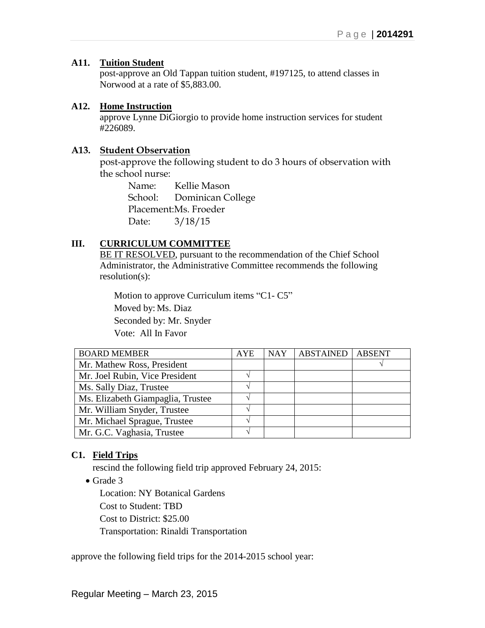### **A11. Tuition Student**

post-approve an Old Tappan tuition student, #197125, to attend classes in Norwood at a rate of \$5,883.00.

### **A12. Home Instruction**

approve Lynne DiGiorgio to provide home instruction services for student #226089.

## **A13. Student Observation**

post-approve the following student to do 3 hours of observation with the school nurse:

> Name: Kellie Mason School: Dominican College Placement:Ms. Froeder Date: 3/18/15

# **III. CURRICULUM COMMITTEE**

BE IT RESOLVED, pursuant to the recommendation of the Chief School Administrator, the Administrative Committee recommends the following resolution(s):

Motion to approve Curriculum items "C1- C5" Moved by: Ms. Diaz Seconded by: Mr. Snyder Vote: All In Favor

| <b>BOARD MEMBER</b>               | <b>AYE</b> | <b>NAY</b> | <b>ABSTAINED</b> | <b>ABSENT</b> |
|-----------------------------------|------------|------------|------------------|---------------|
| Mr. Mathew Ross, President        |            |            |                  |               |
| Mr. Joel Rubin, Vice President    |            |            |                  |               |
| Ms. Sally Diaz, Trustee           |            |            |                  |               |
| Ms. Elizabeth Giampaglia, Trustee |            |            |                  |               |
| Mr. William Snyder, Trustee       |            |            |                  |               |
| Mr. Michael Sprague, Trustee      |            |            |                  |               |
| Mr. G.C. Vaghasia, Trustee        |            |            |                  |               |

# **C1. Field Trips**

rescind the following field trip approved February 24, 2015:

• Grade 3

Location: NY Botanical Gardens Cost to Student: TBD Cost to District: \$25.00 Transportation: Rinaldi Transportation

approve the following field trips for the 2014-2015 school year: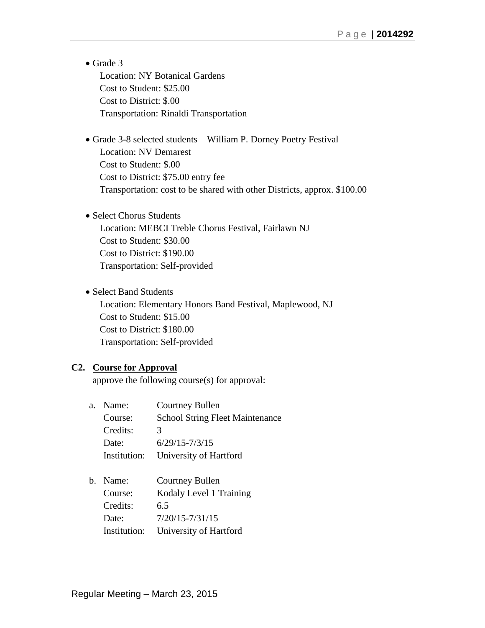- Grade 3 Location: NY Botanical Gardens Cost to Student: \$25.00 Cost to District: \$.00 Transportation: Rinaldi Transportation
- Grade 3-8 selected students William P. Dorney Poetry Festival Location: NV Demarest Cost to Student: \$.00 Cost to District: \$75.00 entry fee Transportation: cost to be shared with other Districts, approx. \$100.00
- Select Chorus Students Location: MEBCI Treble Chorus Festival, Fairlawn NJ Cost to Student: \$30.00 Cost to District: \$190.00 Transportation: Self-provided
- Select Band Students Location: Elementary Honors Band Festival, Maplewood, NJ Cost to Student: \$15.00 Cost to District: \$180.00 Transportation: Self-provided

# **C2. Course for Approval**

approve the following course(s) for approval:

- a. Name: Courtney Bullen Course: School String Fleet Maintenance Credits: 3 Date: 6/29/15-7/3/15 Institution: University of Hartford
- b. Name: Courtney Bullen Course: Kodaly Level 1 Training Credits: 6.5 Date:  $7/20/15 - 7/31/15$ Institution: University of Hartford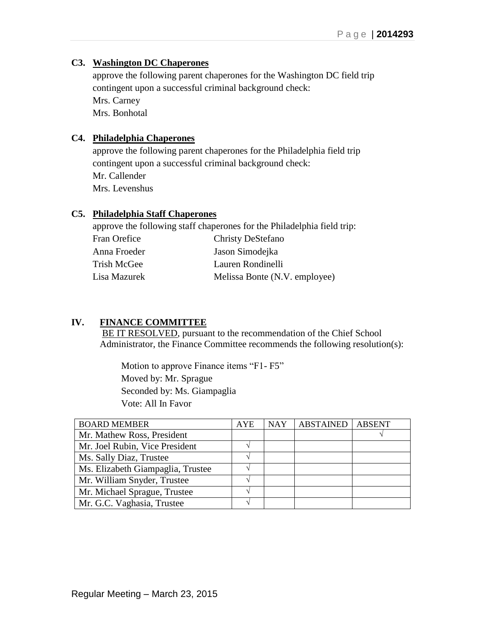## **C3. Washington DC Chaperones**

approve the following parent chaperones for the Washington DC field trip contingent upon a successful criminal background check: Mrs. Carney Mrs. Bonhotal

# **C4. Philadelphia Chaperones**

approve the following parent chaperones for the Philadelphia field trip contingent upon a successful criminal background check: Mr. Callender Mrs. Levenshus

#### **C5. Philadelphia Staff Chaperones**

approve the following staff chaperones for the Philadelphia field trip: Fran Orefice Christy DeStefano Anna Froeder Jason Simodejka Trish McGee Lauren Rondinelli Lisa Mazurek Melissa Bonte (N.V. employee)

# **IV. FINANCE COMMITTEE**

BE IT RESOLVED, pursuant to the recommendation of the Chief School Administrator, the Finance Committee recommends the following resolution(s):

 Motion to approve Finance items "F1- F5" Moved by: Mr. Sprague Seconded by: Ms. Giampaglia Vote: All In Favor

| <b>BOARD MEMBER</b>               | <b>AYE</b> | <b>NAY</b> | <b>ABSTAINED</b> | <b>ABSENT</b> |
|-----------------------------------|------------|------------|------------------|---------------|
| Mr. Mathew Ross, President        |            |            |                  |               |
| Mr. Joel Rubin, Vice President    |            |            |                  |               |
| Ms. Sally Diaz, Trustee           |            |            |                  |               |
| Ms. Elizabeth Giampaglia, Trustee |            |            |                  |               |
| Mr. William Snyder, Trustee       |            |            |                  |               |
| Mr. Michael Sprague, Trustee      |            |            |                  |               |
| Mr. G.C. Vaghasia, Trustee        |            |            |                  |               |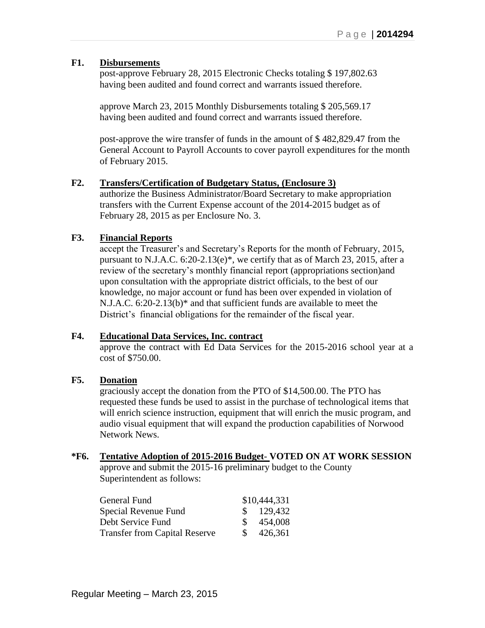#### **F1. Disbursements**

post-approve February 28, 2015 Electronic Checks totaling \$ 197,802.63 having been audited and found correct and warrants issued therefore.

approve March 23, 2015 Monthly Disbursements totaling \$ 205,569.17 having been audited and found correct and warrants issued therefore.

post-approve the wire transfer of funds in the amount of \$ 482,829.47 from the General Account to Payroll Accounts to cover payroll expenditures for the month of February 2015.

#### **F2. Transfers/Certification of Budgetary Status, (Enclosure 3)**

authorize the Business Administrator/Board Secretary to make appropriation transfers with the Current Expense account of the 2014-2015 budget as of February 28, 2015 as per Enclosure No. 3.

#### **F3. Financial Reports**

accept the Treasurer's and Secretary's Reports for the month of February, 2015, pursuant to N.J.A.C. 6:20-2.13(e)\*, we certify that as of March 23, 2015, after a review of the secretary's monthly financial report (appropriations section)and upon consultation with the appropriate district officials, to the best of our knowledge, no major account or fund has been over expended in violation of N.J.A.C. 6:20-2.13(b)\* and that sufficient funds are available to meet the District's financial obligations for the remainder of the fiscal year.

#### **F4. Educational Data Services, Inc. contract**

approve the contract with Ed Data Services for the 2015-2016 school year at a cost of \$750.00.

#### **F5. Donation**

graciously accept the donation from the PTO of \$14,500.00. The PTO has requested these funds be used to assist in the purchase of technological items that will enrich science instruction, equipment that will enrich the music program, and audio visual equipment that will expand the production capabilities of Norwood Network News.

#### **\*F6. Tentative Adoption of 2015-2016 Budget**- **VOTED ON AT WORK SESSION**

approve and submit the 2015-16 preliminary budget to the County Superintendent as follows:

| General Fund                         |    | \$10,444,331         |
|--------------------------------------|----|----------------------|
| Special Revenue Fund                 |    | $\frac{\$}{129,432}$ |
| Debt Service Fund                    |    | \$454,008            |
| <b>Transfer from Capital Reserve</b> | S. | 426,361              |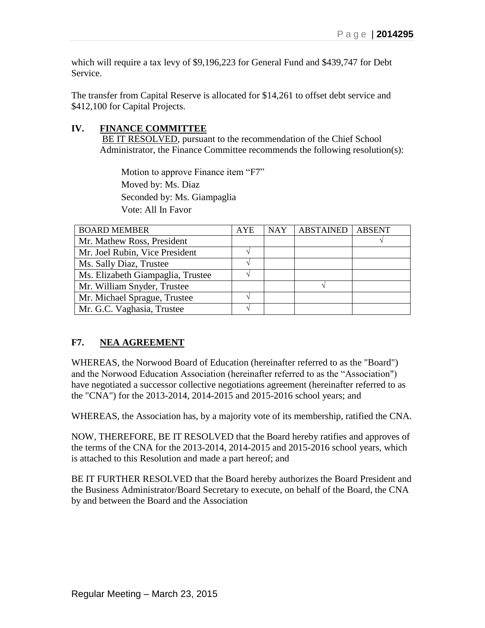which will require a tax levy of \$9,196,223 for General Fund and \$439,747 for Debt Service.

The transfer from Capital Reserve is allocated for \$14,261 to offset debt service and \$412,100 for Capital Projects.

# **IV. FINANCE COMMITTEE**

BE IT RESOLVED, pursuant to the recommendation of the Chief School Administrator, the Finance Committee recommends the following resolution(s):

Motion to approve Finance item "F7" Moved by: Ms. Diaz Seconded by: Ms. Giampaglia Vote: All In Favor

| <b>BOARD MEMBER</b>               | <b>AYE</b> | <b>NAY</b> | <b>ABSTAINED</b> | <b>ABSENT</b> |
|-----------------------------------|------------|------------|------------------|---------------|
| Mr. Mathew Ross, President        |            |            |                  |               |
| Mr. Joel Rubin, Vice President    |            |            |                  |               |
| Ms. Sally Diaz, Trustee           |            |            |                  |               |
| Ms. Elizabeth Giampaglia, Trustee |            |            |                  |               |
| Mr. William Snyder, Trustee       |            |            |                  |               |
| Mr. Michael Sprague, Trustee      |            |            |                  |               |
| Mr. G.C. Vaghasia, Trustee        |            |            |                  |               |

# **F7. NEA AGREEMENT**

WHEREAS, the Norwood Board of Education (hereinafter referred to as the "Board") and the Norwood Education Association (hereinafter referred to as the "Association") have negotiated a successor collective negotiations agreement (hereinafter referred to as the "CNA") for the 2013-2014, 2014-2015 and 2015-2016 school years; and

WHEREAS, the Association has, by a majority vote of its membership, ratified the CNA.

NOW, THEREFORE, BE IT RESOLVED that the Board hereby ratifies and approves of the terms of the CNA for the 2013-2014, 2014-2015 and 2015-2016 school years, which is attached to this Resolution and made a part hereof; and

BE IT FURTHER RESOLVED that the Board hereby authorizes the Board President and the Business Administrator/Board Secretary to execute, on behalf of the Board, the CNA by and between the Board and the Association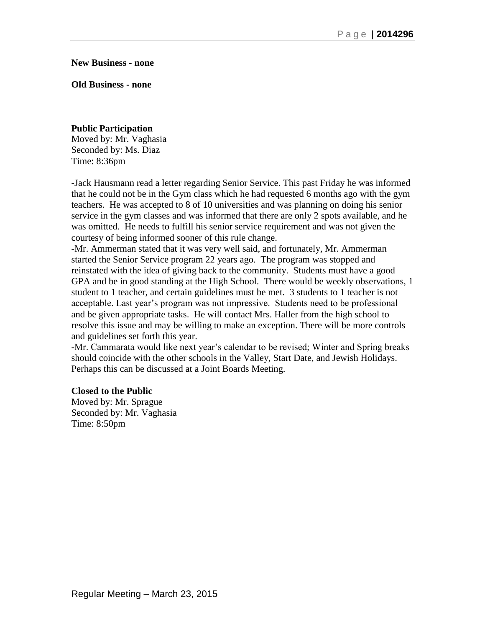**New Business - none**

**Old Business - none**

## **Public Participation**

Moved by: Mr. Vaghasia Seconded by: Ms. Diaz Time: 8:36pm

**-**Jack Hausmann read a letter regarding Senior Service. This past Friday he was informed that he could not be in the Gym class which he had requested 6 months ago with the gym teachers. He was accepted to 8 of 10 universities and was planning on doing his senior service in the gym classes and was informed that there are only 2 spots available, and he was omitted. He needs to fulfill his senior service requirement and was not given the courtesy of being informed sooner of this rule change.

-Mr. Ammerman stated that it was very well said, and fortunately, Mr. Ammerman started the Senior Service program 22 years ago. The program was stopped and reinstated with the idea of giving back to the community. Students must have a good GPA and be in good standing at the High School. There would be weekly observations, 1 student to 1 teacher, and certain guidelines must be met. 3 students to 1 teacher is not acceptable. Last year's program was not impressive. Students need to be professional and be given appropriate tasks. He will contact Mrs. Haller from the high school to resolve this issue and may be willing to make an exception. There will be more controls and guidelines set forth this year.

-Mr. Cammarata would like next year's calendar to be revised; Winter and Spring breaks should coincide with the other schools in the Valley, Start Date, and Jewish Holidays. Perhaps this can be discussed at a Joint Boards Meeting.

#### **Closed to the Public**

Moved by: Mr. Sprague Seconded by: Mr. Vaghasia Time: 8:50pm